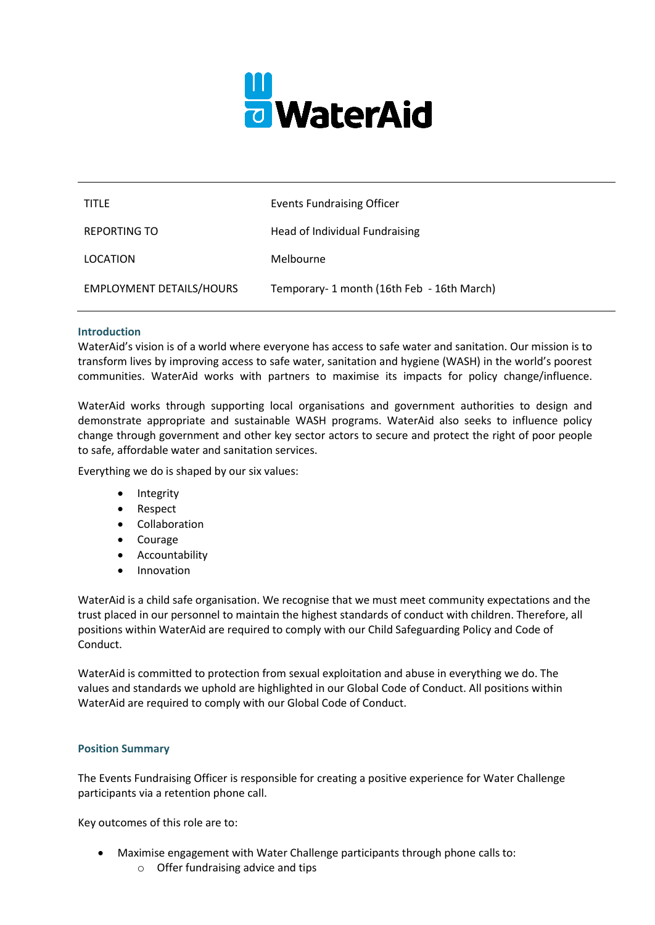

| <b>TITLE</b>                    | <b>Events Fundraising Officer</b>         |
|---------------------------------|-------------------------------------------|
| <b>REPORTING TO</b>             | Head of Individual Fundraising            |
| LOCATION                        | Melbourne                                 |
| <b>EMPLOYMENT DETAILS/HOURS</b> | Temporary-1 month (16th Feb - 16th March) |

#### **Introduction**

WaterAid's vision is of a world where everyone has access to safe water and sanitation. Our mission is to transform lives by improving access to safe water, sanitation and hygiene (WASH) in the world's poorest communities. WaterAid works with partners to maximise its impacts for policy change/influence.

WaterAid works through supporting local organisations and government authorities to design and demonstrate appropriate and sustainable WASH programs. WaterAid also seeks to influence policy change through government and other key sector actors to secure and protect the right of poor people to safe, affordable water and sanitation services.

Everything we do is shaped by our six values:

- Integrity
- Respect
- Collaboration
- Courage
- Accountability
- Innovation

WaterAid is a child safe organisation. We recognise that we must meet community expectations and the trust placed in our personnel to maintain the highest standards of conduct with children. Therefore, all positions within WaterAid are required to comply with our Child Safeguarding Policy and Code of Conduct.

WaterAid is committed to protection from sexual exploitation and abuse in everything we do. The values and standards we uphold are highlighted in our Global Code of Conduct. All positions within WaterAid are required to comply with our Global Code of Conduct.

#### **Position Summary**

The Events Fundraising Officer is responsible for creating a positive experience for Water Challenge participants via a retention phone call.

Key outcomes of this role are to:

- Maximise engagement with Water Challenge participants through phone calls to:
	- o Offer fundraising advice and tips